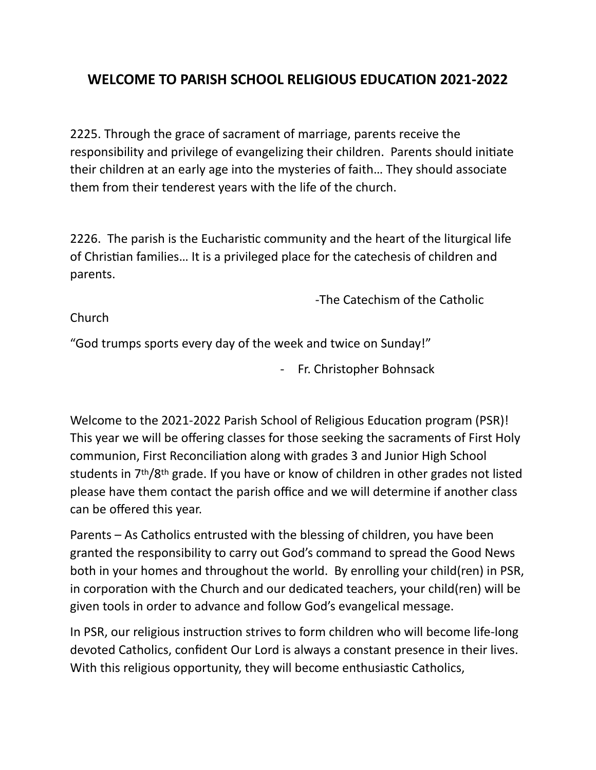## WELCOME TO PARISH SCHOOL RELIGIOUS EDUCATION 2021-2022

2225. Through the grace of sacrament of marriage, parents receive the responsibility and privilege of evangelizing their children. Parents should initiate their children at an early age into the mysteries of faith... They should associate them from their tenderest years with the life of the church.

2226. The parish is the Eucharistic community and the heart of the liturgical life of Christian families... It is a privileged place for the catechesis of children and parents.

-The Catechism of the Catholic

Church

"God trumps sports every day of the week and twice on Sunday!"

- Fr. Christopher Bohnsack

Welcome to the 2021-2022 Parish School of Religious Education program (PSR)! This year we will be offering classes for those seeking the sacraments of First Holy communion, First Reconciliation along with grades 3 and Junior High School students in 7<sup>th</sup>/8<sup>th</sup> grade. If you have or know of children in other grades not listed please have them contact the parish office and we will determine if another class can be offered this year.

Parents  $-$  As Catholics entrusted with the blessing of children, you have been granted the responsibility to carry out God's command to spread the Good News both in your homes and throughout the world. By enrolling your child(ren) in PSR, in corporation with the Church and our dedicated teachers, your child(ren) will be given tools in order to advance and follow God's evangelical message.

In PSR, our religious instruction strives to form children who will become life-long devoted Catholics, confident Our Lord is always a constant presence in their lives. With this religious opportunity, they will become enthusiastic Catholics,